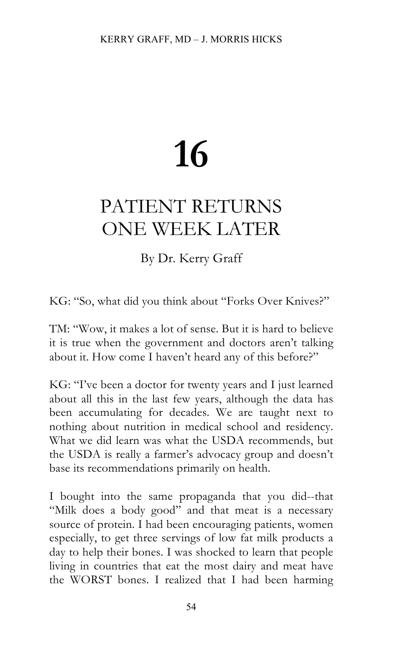# **16**

## PATIENT RETURNS ONE WEEK LATER

### By Dr. Kerry Graff

KG: "So, what did you think about "Forks Over Knives?"

TM: "Wow, it makes a lot of sense. But it is hard to believe it is true when the government and doctors aren't talking about it. How come I haven't heard any of this before?"

KG: "I've been a doctor for twenty years and I just learned about all this in the last few years, although the data has been accumulating for decades. We are taught next to nothing about nutrition in medical school and residency. What we did learn was what the USDA recommends, but the USDA is really a farmer's advocacy group and doesn't base its recommendations primarily on health.

I bought into the same propaganda that you did--that "Milk does a body good" and that meat is a necessary source of protein. I had been encouraging patients, women especially, to get three servings of low fat milk products a day to help their bones. I was shocked to learn that people living in countries that eat the most dairy and meat have the WORST bones. I realized that I had been harming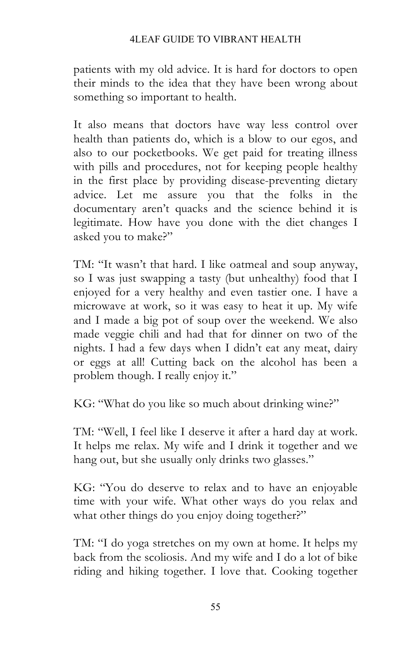#### 4LEAF GUIDE TO VIBRANT HEALTH

patients with my old advice. It is hard for doctors to open their minds to the idea that they have been wrong about something so important to health.

It also means that doctors have way less control over health than patients do, which is a blow to our egos, and also to our pocketbooks. We get paid for treating illness with pills and procedures, not for keeping people healthy in the first place by providing disease-preventing dietary advice. Let me assure you that the folks in the documentary aren't quacks and the science behind it is legitimate. How have you done with the diet changes I asked you to make?"

TM: "It wasn't that hard. I like oatmeal and soup anyway, so I was just swapping a tasty (but unhealthy) food that I enjoyed for a very healthy and even tastier one. I have a microwave at work, so it was easy to heat it up. My wife and I made a big pot of soup over the weekend. We also made veggie chili and had that for dinner on two of the nights. I had a few days when I didn't eat any meat, dairy or eggs at all! Cutting back on the alcohol has been a problem though. I really enjoy it."

KG: "What do you like so much about drinking wine?"

TM: "Well, I feel like I deserve it after a hard day at work. It helps me relax. My wife and I drink it together and we hang out, but she usually only drinks two glasses."

KG: "You do deserve to relax and to have an enjoyable time with your wife. What other ways do you relax and what other things do you enjoy doing together?"

TM: "I do yoga stretches on my own at home. It helps my back from the scoliosis. And my wife and I do a lot of bike riding and hiking together. I love that. Cooking together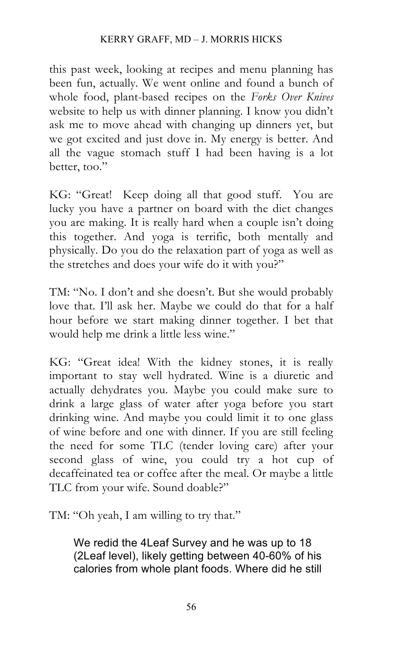#### KERRY GRAFF, MD – J. MORRIS HICKS

this past week, looking at recipes and menu planning has been fun, actually. We went online and found a bunch of whole food, plant-based recipes on the *Forks Over Knives* website to help us with dinner planning. I know you didn't ask me to move ahead with changing up dinners yet, but we got excited and just dove in. My energy is better. And all the vague stomach stuff I had been having is a lot better, too."

KG: "Great! Keep doing all that good stuff. You are lucky you have a partner on board with the diet changes you are making. It is really hard when a couple isn't doing this together. And yoga is terrific, both mentally and physically. Do you do the relaxation part of yoga as well as the stretches and does your wife do it with you?"

TM: "No. I don't and she doesn't. But she would probably love that. I'll ask her. Maybe we could do that for a half hour before we start making dinner together. I bet that would help me drink a little less wine."

KG: "Great idea! With the kidney stones, it is really important to stay well hydrated. Wine is a diuretic and actually dehydrates you. Maybe you could make sure to drink a large glass of water after yoga before you start drinking wine. And maybe you could limit it to one glass of wine before and one with dinner. If you are still feeling the need for some TLC (tender loving care) after your second glass of wine, you could try a hot cup of decaffeinated tea or coffee after the meal. Or maybe a little TLC from your wife. Sound doable?"

TM: "Oh yeah, I am willing to try that."

We redid the 4Leaf Survey and he was up to 18 (2Leaf level), likely getting between 40-60% of his calories from whole plant foods. Where did he still